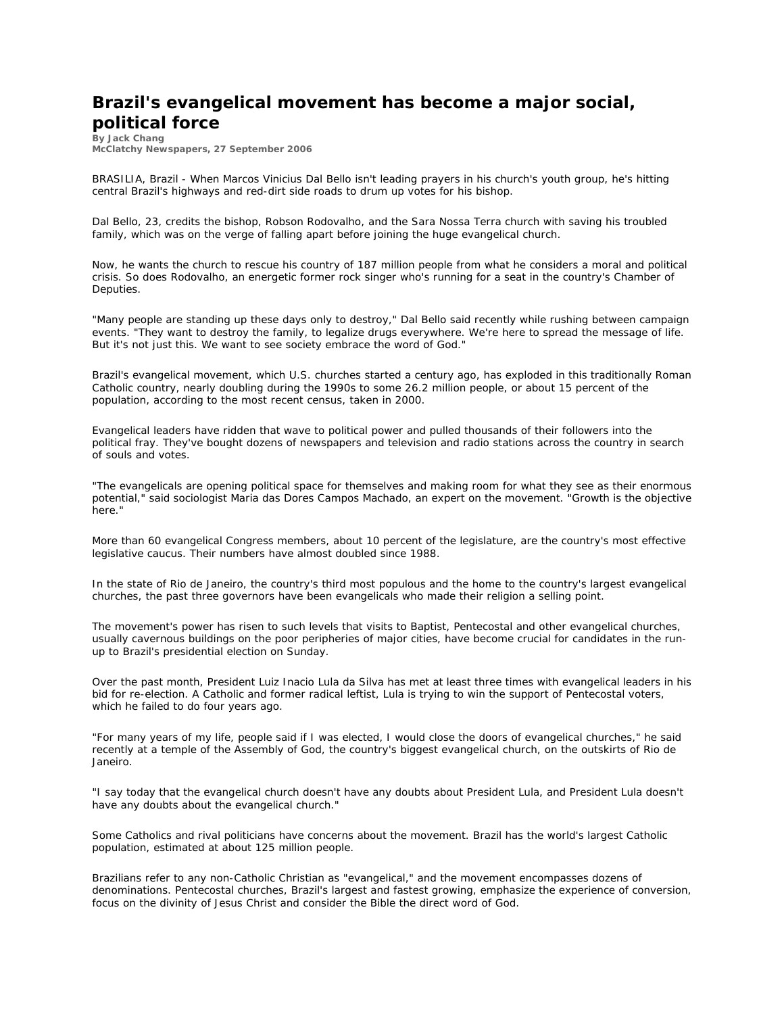## **Brazil's evangelical movement has become a major social, political force**

**By Jack Chang McClatchy Newspapers, 27 September 2006**

BRASILIA, Brazil - When Marcos Vinicius Dal Bello isn't leading prayers in his church's youth group, he's hitting central Brazil's highways and red-dirt side roads to drum up votes for his bishop.

Dal Bello, 23, credits the bishop, Robson Rodovalho, and the Sara Nossa Terra church with saving his troubled family, which was on the verge of falling apart before joining the huge evangelical church.

Now, he wants the church to rescue his country of 187 million people from what he considers a moral and political crisis. So does Rodovalho, an energetic former rock singer who's running for a seat in the country's Chamber of Deputies.

"Many people are standing up these days only to destroy," Dal Bello said recently while rushing between campaign events. "They want to destroy the family, to legalize drugs everywhere. We're here to spread the message of life. But it's not just this. We want to see society embrace the word of God."

Brazil's evangelical movement, which U.S. churches started a century ago, has exploded in this traditionally Roman Catholic country, nearly doubling during the 1990s to some 26.2 million people, or about 15 percent of the population, according to the most recent census, taken in 2000.

Evangelical leaders have ridden that wave to political power and pulled thousands of their followers into the political fray. They've bought dozens of newspapers and television and radio stations across the country in search of souls and votes.

"The evangelicals are opening political space for themselves and making room for what they see as their enormous potential," said sociologist Maria das Dores Campos Machado, an expert on the movement. "Growth is the objective here."

More than 60 evangelical Congress members, about 10 percent of the legislature, are the country's most effective legislative caucus. Their numbers have almost doubled since 1988.

In the state of Rio de Janeiro, the country's third most populous and the home to the country's largest evangelical churches, the past three governors have been evangelicals who made their religion a selling point.

The movement's power has risen to such levels that visits to Baptist, Pentecostal and other evangelical churches, usually cavernous buildings on the poor peripheries of major cities, have become crucial for candidates in the runup to Brazil's presidential election on Sunday.

Over the past month, President Luiz Inacio Lula da Silva has met at least three times with evangelical leaders in his bid for re-election. A Catholic and former radical leftist, Lula is trying to win the support of Pentecostal voters, which he failed to do four years ago.

"For many years of my life, people said if I was elected, I would close the doors of evangelical churches," he said recently at a temple of the Assembly of God, the country's biggest evangelical church, on the outskirts of Rio de Janeiro.

"I say today that the evangelical church doesn't have any doubts about President Lula, and President Lula doesn't have any doubts about the evangelical church."

Some Catholics and rival politicians have concerns about the movement. Brazil has the world's largest Catholic population, estimated at about 125 million people.

Brazilians refer to any non-Catholic Christian as "evangelical," and the movement encompasses dozens of denominations. Pentecostal churches, Brazil's largest and fastest growing, emphasize the experience of conversion, focus on the divinity of Jesus Christ and consider the Bible the direct word of God.